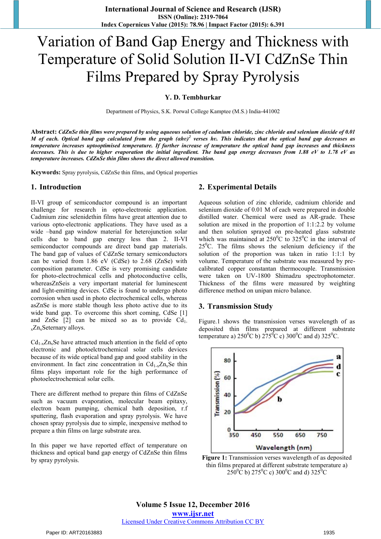# Variation of Band Gap Energy and Thickness with Temperature of Solid Solution II-VI CdZnSe Thin Films Prepared by Spray Pyrolysis

## **Y. D. Tembhurkar**

Department of Physics, S.K. Porwal College Kamptee (M.S.) India-441002

**Abstract:** *CdZnSe thin films were prepared by using aqueous solution of cadmium chloride, zinc chloride and selenium dioxide of 0.01 M* of each. Optical band gap calculated from the graph (ahv)<sup>2</sup> verses hv. This indicates that the optical band gap decreases as *temperature increases uptooptimised temperature. If further increase of temperature the optical band gap increases and thickness decreases. This is due to higher evaporation the initial ingredient. The band gap energy decreases from 1.88 eV to 1.78 eV as temperature increases. CdZnSe thin films shows the direct allowed transition.* 

**Keywords:** Spray pyrolysis, CdZnSe thin films, and Optical properties

#### **1. Introduction**

II-VI group of semiconductor compound is an important challenge for research in opto-electronic application. Cadmium zinc selenidethin films have great attention due to various opto-electronic applications. They have used as a wide –band gap window material for heterojunction solar cells due to band gap energy less than 2. II-VI semiconductor compounds are direct band gap materials. The band gap of values of CdZnSe ternary semiconductors can be varied from 1.86 eV (CdSe) to 2.68 (ZnSe) with composition parameter. CdSe is very promising candidate for photo-electrochmical cells and photoconductive cells, whereasZnSeis a very important material for luminescent and light-emitting devices. CdSe is found to undergo photo corrosion when used in photo electrochemical cells, whereas asZnSe is more stable though less photo active due to its wide band gap. To overcome this short coming, CdSe [1] and ZnSe  $[2]$  can be mixed so as to provide  $Cd<sub>1</sub>$ . <sub>x</sub>Zn<sub>x</sub>Seternary alloys.

 $Cd_{1-x}Zn_xSe$  have attracted much attention in the field of opto electronic and photoelctrochemical solar cells devices because of its wide optical band gap and good stability in the environment. In fact zinc concentration in  $Cd_{1-x}Zn_xSe$  thin films plays important role for the high performance of photoelectrochemical solar cells.

There are different method to prepare thin films of CdZnSe such as vacuum evaporation, molecular beam epitaxy, electron beam pumping, chemical bath deposition, r.f sputtering, flash evaporation and spray pyrolysis. We have chosen spray pyrolysis due to simple, inexpensive method to prepare a thin films on large substrate area.

In this paper we have reported effect of temperature on thickness and optical band gap energy of CdZnSe thin films by spray pyrolysis.

#### **2. Experimental Details**

Aqueous solution of zinc chloride, cadmium chloride and selenium dioxide of 0.01 M of each were prepared in double distilled water. Chemical were used as AR-grade. These solution are mixed in the proportion of 1:1:2.2 by volume and then solution sprayed on pre-heated glass substrate which was maintained at  $250^{\circ}$ C to  $325^{\circ}$ C in the interval of  $25^{\circ}$ C. The films shows the selenium deficiency if the solution of the proportion was taken in ratio 1:1:1 by volume. Temperature of the substrate was measured by precalibrated copper constantan thermocouple. Transmission were taken on UV-1800 Shimadzu spectrophotometer. Thickness of the films were measured by weighting difference method on unipan micro balance.

#### **3. Transmission Study**

Figure.1 shows the transmission verses wavelength of as deposited thin films prepared at different substrate temperature a) 250<sup>0</sup>C b) 275<sup>0</sup>C c) 300<sup>0</sup>C and d) 325<sup>0</sup>C.



Figure 1: Transmission verses wavelength of as deposited thin films prepared at different substrate temperature a)  $250^{\circ}$ C b)  $275^{\circ}$ C c)  $300^{\circ}$ C and d)  $325^{\circ}$ C

**Volume 5 Issue 12, December 2016 www.ijsr.net** Licensed Under Creative Commons Attribution CC BY